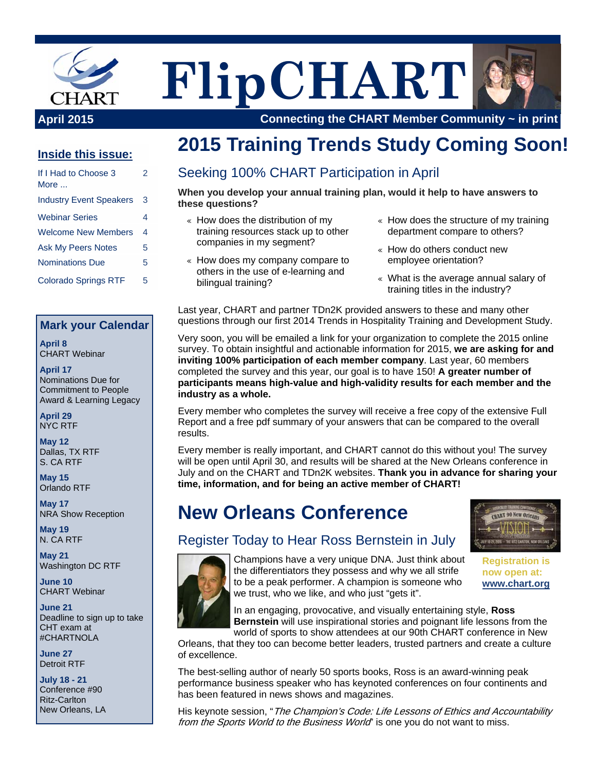

# **FlipCHART**



**April 2015 Connecting the CHART Member Community ~ in print**

#### **Inside this issue:**

| If I Had to Choose 3<br>More   | 2 |
|--------------------------------|---|
| <b>Industry Event Speakers</b> | 3 |
| <b>Webinar Series</b>          | 4 |
| <b>Welcome New Members</b>     | 4 |
| <b>Ask My Peers Notes</b>      | 5 |
| <b>Nominations Due</b>         | 5 |
| <b>Colorado Springs RTF</b>    | 5 |

#### **Mark your Calendar**

**April 8**  CHART Webinar

**April 17**  Nominations Due for Commitment to People Award & Learning Legacy

**April 29**  NYC RTF

**May 12**  Dallas, TX RTF S. CA RTF

**May 15**  Orlando RTF

**May 17**  NRA Show Reception

**May 19**  N. CA RTF

**May 21**  Washington DC RTF

**June 10**  CHART Webinar

**June 21**  Deadline to sign up to take CHT exam at #CHARTNOLA

**June 27**  Detroit RTF

**July 18 - 21**  Conference #90 Ritz-Carlton New Orleans, LA

### **2015 Training Trends Study Coming Soon!**

#### Seeking 100% CHART Participation in April

**When you develop your annual training plan, would it help to have answers to these questions?** 

- « How does the distribution of my training resources stack up to other companies in my segment?
- « How does my company compare to others in the use of e-learning and bilingual training?
- $\epsilon$  How does the structure of my training department compare to others?
- « How do others conduct new employee orientation?
- « What is the average annual salary of training titles in the industry?

Last year, CHART and partner TDn2K provided answers to these and many other questions through our first 2014 Trends in Hospitality Training and Development Study.

Very soon, you will be emailed a link for your organization to complete the 2015 online survey. To obtain insightful and actionable information for 2015, **we are asking for and inviting 100% participation of each member company**. Last year, 60 members completed the survey and this year, our goal is to have 150! **A greater number of participants means high-value and high-validity results for each member and the industry as a whole.**

Every member who completes the survey will receive a free copy of the extensive Full Report and a free pdf summary of your answers that can be compared to the overall results.

Every member is really important, and CHART cannot do this without you! The survey will be open until April 30, and results will be shared at the New Orleans conference in July and on the CHART and TDn2K websites. **Thank you in advance for sharing your time, information, and for being an active member of CHART!**

# **New Orleans Conference**



### Register Today to Hear Ross Bernstein in July



Champions have a very unique DNA. Just think about the differentiators they possess and why we all strife to be a peak performer. A champion is someone who we trust, who we like, and who just "gets it".

In an engaging, provocative, and visually entertaining style, **Ross Bernstein** will use inspirational stories and poignant life lessons from the world of sports to show attendees at our 90th CHART conference in New

Orleans, that they too can become better leaders, trusted partners and create a culture of excellence.

The best-selling author of nearly 50 sports books, Ross is an award-winning peak performance business speaker who has keynoted conferences on four continents and has been featured in news shows and magazines.

His keynote session, "The Champion's Code: Life Lessons of Ethics and Accountability from the Sports World to the Business World" is one you do not want to miss.

**Registration is now open at: www.chart.org**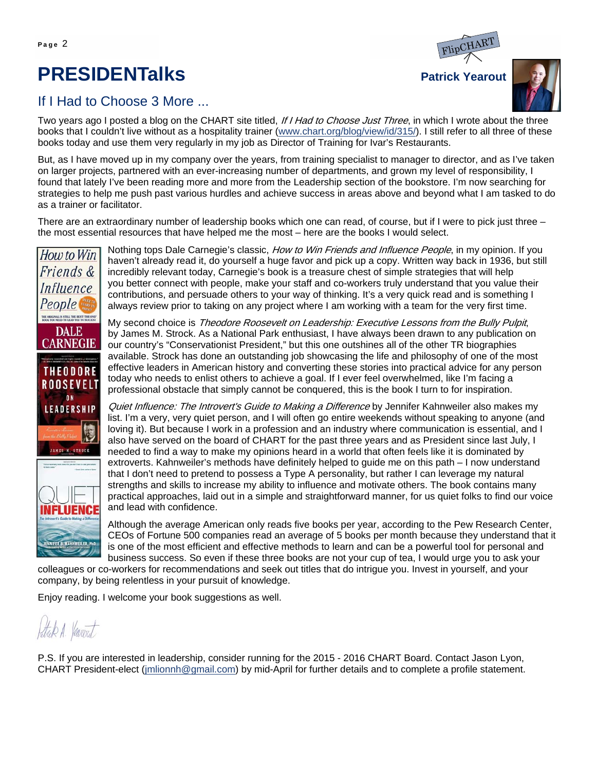### **PRESIDENTalks** Patrick Yearout



#### If I Had to Choose 3 More ...

Two vears ago I posted a blog on the CHART site titled, If I Had to Choose Just Three, in which I wrote about the three books that I couldn't live without as a hospitality trainer (www.chart.org/blog/view/id/315/). I still refer to all three of these books today and use them very regularly in my job as Director of Training for Ivar's Restaurants.

But, as I have moved up in my company over the years, from training specialist to manager to director, and as I've taken on larger projects, partnered with an ever-increasing number of departments, and grown my level of responsibility, I found that lately I've been reading more and more from the Leadership section of the bookstore. I'm now searching for strategies to help me push past various hurdles and achieve success in areas above and beyond what I am tasked to do as a trainer or facilitator.

There are an extraordinary number of leadership books which one can read, of course, but if I were to pick just three – the most essential resources that have helped me the most – here are the books I would select.



Nothing tops Dale Carnegie's classic, How to Win Friends and Influence People, in my opinion. If you haven't already read it, do yourself a huge favor and pick up a copy. Written way back in 1936, but still incredibly relevant today, Carnegie's book is a treasure chest of simple strategies that will help you better connect with people, make your staff and co-workers truly understand that you value their contributions, and persuade others to your way of thinking. It's a very quick read and is something I always review prior to taking on any project where I am working with a team for the very first time.

My second choice is Theodore Roosevelt on Leadership: Executive Lessons from the Bully Pulpit, by James M. Strock. As a National Park enthusiast, I have always been drawn to any publication on our country's "Conservationist President," but this one outshines all of the other TR biographies available. Strock has done an outstanding job showcasing the life and philosophy of one of the most effective leaders in American history and converting these stories into practical advice for any person today who needs to enlist others to achieve a goal. If I ever feel overwhelmed, like I'm facing a professional obstacle that simply cannot be conquered, this is the book I turn to for inspiration.

Quiet Influence: The Introvert's Guide to Making a Difference by Jennifer Kahnweiler also makes my list. I'm a very, very quiet person, and I will often go entire weekends without speaking to anyone (and loving it). But because I work in a profession and an industry where communication is essential, and I also have served on the board of CHART for the past three years and as President since last July, I needed to find a way to make my opinions heard in a world that often feels like it is dominated by extroverts. Kahnweiler's methods have definitely helped to guide me on this path – I now understand that I don't need to pretend to possess a Type A personality, but rather I can leverage my natural strengths and skills to increase my ability to influence and motivate others. The book contains many practical approaches, laid out in a simple and straightforward manner, for us quiet folks to find our voice and lead with confidence.

Although the average American only reads five books per year, according to the Pew Research Center, CEOs of Fortune 500 companies read an average of 5 books per month because they understand that it is one of the most efficient and effective methods to learn and can be a powerful tool for personal and business success. So even if these three books are not your cup of tea, I would urge you to ask your

colleagues or co-workers for recommendations and seek out titles that do intrigue you. Invest in yourself, and your company, by being relentless in your pursuit of knowledge.

Enjoy reading. I welcome your book suggestions as well.

Stak A. Variout

P.S. If you are interested in leadership, consider running for the 2015 - 2016 CHART Board. Contact Jason Lyon, CHART President-elect (jmlionnh@gmail.com) by mid-April for further details and to complete a profile statement.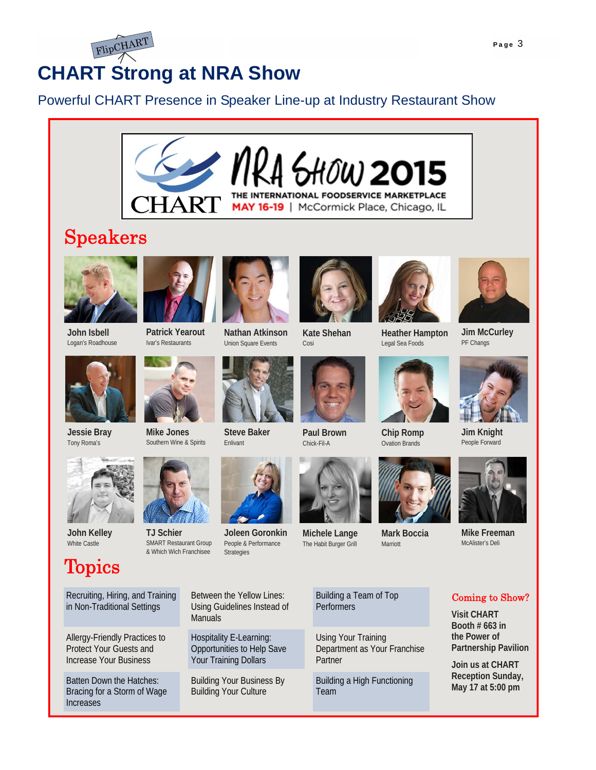

### **CHART Strong at NRA Show**

### Powerful CHART Presence in Speaker Line-up at Industry Restaurant Show



### Speakers



**John Isbell**  Logan's Roadhouse

**Jessie Bray**  Tony Roma's





**Mike Jones** 







**Joleen Goronkin**  People & Performance Strategies

Union Square Events

**Steve Baker**  Enlivant









**Heather Hampton**  Legal Sea Foods



PF Changs



**Chip Romp**  Ovation Brands



**Mark Boccia**  Marriott

Building a Team of Top **Performers** 

Using Your Training Department as Your Franchise Partner

Building a High Functioning Team

**Jim Knight** People Forward



**Mike Freeman**  McAlister's Deli

#### Coming to Show?

**Visit CHART Booth # 663 in the Power of Partnership Pavilion** 

**Join us at CHART Reception Sunday, May 17 at 5:00 pm** 

Recruiting, Hiring, and Training in Non-Traditional Settings

**Topics** 

**John Kelley**  White Castle

Allergy-Friendly Practices to Protect Your Guests and Increase Your Business

Batten Down the Hatches: Bracing for a Storm of Wage Increases

Between the Yellow Lines: Using Guidelines Instead of **Manuals** 

Hospitality E-Learning: Opportunities to Help Save Your Training Dollars

Building Your Business By Building Your Culture





**Michele Lange**  The Habit Burger Grill

**Paul Brown**  Chick-Fil-A





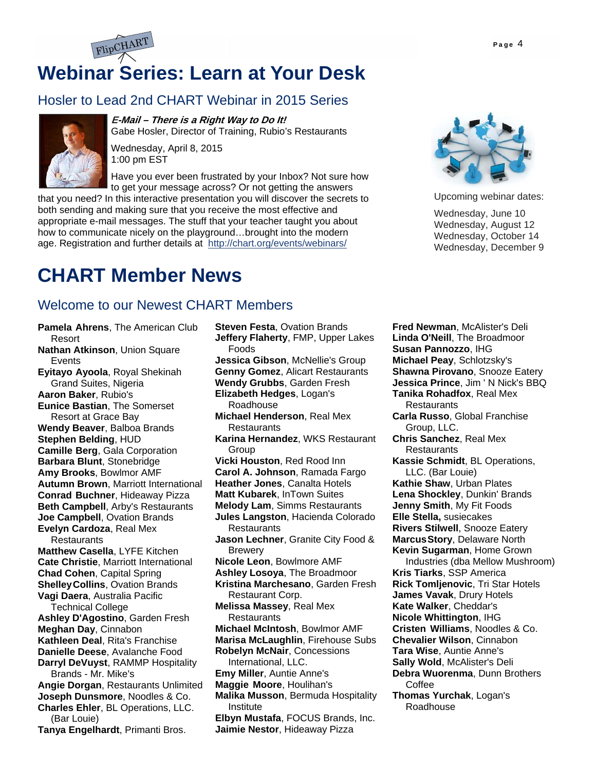# **Webinar Series: Learn at Your Desk**

#### Hosler to Lead 2nd CHART Webinar in 2015 Series



#### **E-Mail – There is a Right Way to Do It!**

Gabe Hosler, Director of Training, Rubio's Restaurants

Wednesday, April 8, 2015 1:00 pm EST

Have you ever been frustrated by your Inbox? Not sure how to get your message across? Or not getting the answers

that you need? In this interactive presentation you will discover the secrets to both sending and making sure that you receive the most effective and appropriate e-mail messages. The stuff that your teacher taught you about how to communicate nicely on the playground…brought into the modern age. Registration and further details at http://chart.org/events/webinars/

### **CHART Member News**

#### Welcome to our Newest CHART Members

- **Pamela Ahrens**, The American Club Resort **Nathan Atkinson**, Union Square
- Events **Eyitayo Ayoola**, Royal Shekinah
- Grand Suites, Nigeria **Aaron Baker**, Rubio's

**Eunice Bastian**, The Somerset Resort at Grace Bay

- **Wendy Beaver**, Balboa Brands **Stephen Belding**, HUD **Camille Berg**, Gala Corporation **Barbara Blunt**, Stonebridge **Amy Brooks**, Bowlmor AMF **Autumn Brown**, Marriott International **Conrad Buchner**, Hideaway Pizza **Beth Campbell**, Arby's Restaurants **Joe Campbell**, Ovation Brands **Evelyn Cardoza**, Real Mex **Restaurants**
- **Matthew Casella**, LYFE Kitchen **Cate Christie**, Marriott International **Chad Cohen**, Capital Spring **Shelley Collins**, Ovation Brands **Vagi Daera**, Australia Pacific

Technical College **Ashley D'Agostino**, Garden Fresh **Meghan Day**, Cinnabon **Kathleen Deal**, Rita's Franchise **Danielle Deese**, Avalanche Food **Darryl DeVuyst**, RAMMP Hospitality

Brands - Mr. Mike's

**Angie Dorgan**, Restaurants Unlimited **Joseph Dunsmore**, Noodles & Co. **Charles Ehler**, BL Operations, LLC. (Bar Louie)

**Tanya Engelhardt**, Primanti Bros.

**Steven Festa**, Ovation Brands **Jeffery Flaherty**, FMP, Upper Lakes Foods **Jessica Gibson**, McNellie's Group **Genny Gomez**, Alicart Restaurants **Wendy Grubbs**, Garden Fresh **Elizabeth Hedges**, Logan's Roadhouse **Michael Henderson**, Real Mex **Restaurants Karina Hernandez**, WKS Restaurant Group **Vicki Houston**, Red Rood Inn **Carol A. Johnson**, Ramada Fargo **Heather Jones**, Canalta Hotels **Matt Kubarek**, InTown Suites **Melody Lam**, Simms Restaurants **Jules Langston**, Hacienda Colorado **Restaurants Jason Lechner**, Granite City Food & **Brewery Nicole Leon**, Bowlmore AMF **Ashley Losoya**, The Broadmoor **Kristina Marchesano**, Garden Fresh Restaurant Corp. **Melissa Massey**, Real Mex **Restaurants Michael McIntosh**, Bowlmor AMF **Marisa McLaughlin**, Firehouse Subs **Robelyn McNair**, Concessions International, LLC. **Emy Miller**, Auntie Anne's **Maggie Moore**, Houlihan's **Malika Musson**, Bermuda Hospitality Institute **Elbyn Mustafa**, FOCUS Brands, Inc. **Jaimie Nestor**, Hideaway Pizza



Upcoming webinar dates:

Wednesday, June 10 Wednesday, August 12 Wednesday, October 14 Wednesday, December 9

**Fred Newman**, McAlister's Deli **Linda O'Neill**, The Broadmoor **Susan Pannozzo**, IHG **Michael Peay**, Schlotzsky's **Shawna Pirovano**, Snooze Eatery **Jessica Prince**, Jim ' N Nick's BBQ **Tanika Rohadfox**, Real Mex **Restaurants Carla Russo**, Global Franchise Group, LLC. **Chris Sanchez**, Real Mex **Restaurants Kassie Schmidt**, BL Operations, LLC. (Bar Louie) **Kathie Shaw**, Urban Plates **Lena Shockley**, Dunkin' Brands **Jenny Smith**, My Fit Foods **Elle Stella,** susiecakes **Rivers Stilwell**, Snooze Eatery **Marcus Story**, Delaware North **Kevin Sugarman**, Home Grown Industries (dba Mellow Mushroom) **Kris Tiarks**, SSP America **Rick Tomljenovic**, Tri Star Hotels **James Vavak**, Drury Hotels **Kate Walker**, Cheddar's **Nicole Whittington**, IHG **Cristen Williams**, Noodles & Co. **Chevalier Wilson**, Cinnabon **Tara Wise**, Auntie Anne's **Sally Wold**, McAlister's Deli **Debra Wuorenma**, Dunn Brothers Coffee **Thomas Yurchak**, Logan's Roadhouse